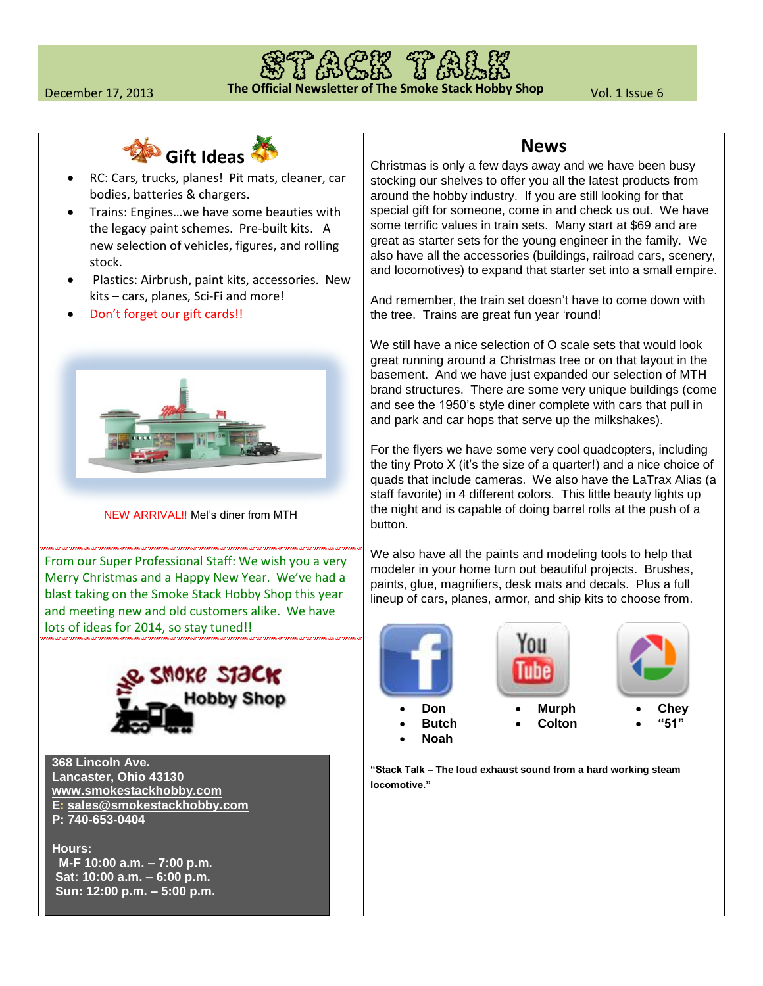



- RC: Cars, trucks, planes! Pit mats, cleaner, car bodies, batteries & chargers.
- Trains: Engines…we have some beauties with the legacy paint schemes. Pre-built kits. A new selection of vehicles, figures, and rolling stock.
- Plastics: Airbrush, paint kits, accessories. New kits – cars, planes, Sci-Fi and more!
- Don't forget our gift cards!!



NEW ARRIVAL!! Mel's diner from MTH

From our Super Professional Staff: We wish you a very Merry Christmas and a Happy New Year. We've had a blast taking on the Smoke Stack Hobby Shop this year and meeting new and old customers alike. We have lots of ideas for 2014, so stay tuned!!



**368 Lincoln Ave. Lancaster, Ohio 43130 [www.smokestackhobby.com](http://www.smokestackhobby.com/) E: [sales@smokestackhobby.com](mailto:sales@smokestackhobby.com) P: 740-653-0404**

**Hours: M-F 10:00 a.m. – 7:00 p.m. Sat: 10:00 a.m. – 6:00 p.m. Sun: 12:00 p.m. – 5:00 p.m.** 

## **News**

Christmas is only a few days away and we have been busy stocking our shelves to offer you all the latest products from around the hobby industry. If you are still looking for that special gift for someone, come in and check us out. We have some terrific values in train sets. Many start at \$69 and are great as starter sets for the young engineer in the family. We also have all the accessories (buildings, railroad cars, scenery, and locomotives) to expand that starter set into a small empire.

And remember, the train set doesn't have to come down with the tree. Trains are great fun year 'round!

We still have a nice selection of O scale sets that would look great running around a Christmas tree or on that layout in the basement. And we have just expanded our selection of MTH brand structures. There are some very unique buildings (come and see the 1950's style diner complete with cars that pull in and park and car hops that serve up the milkshakes).

For the flyers we have some very cool quadcopters, including the tiny Proto X (it's the size of a quarter!) and a nice choice of quads that include cameras. We also have the LaTrax Alias (a staff favorite) in 4 different colors. This little beauty lights up the night and is capable of doing barrel rolls at the push of a button.

We also have all the paints and modeling tools to help that modeler in your home turn out beautiful projects. Brushes, paints, glue, magnifiers, desk mats and decals. Plus a full lineup of cars, planes, armor, and ship kits to choose from.



**"Stack Talk – The loud exhaust sound from a hard working steam locomotive."**